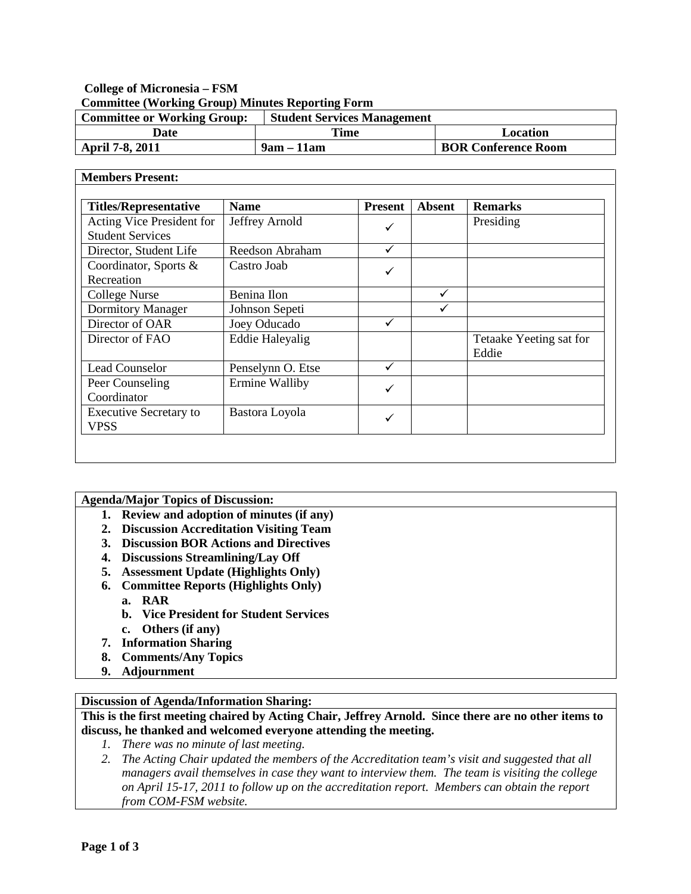# **College of Micronesia – FSM Committee (Working Group) Minutes Reporting Form**

| <b>Committee or Working Group:</b> | <b>Student Services Management</b> |                            |
|------------------------------------|------------------------------------|----------------------------|
| Date                               | Time                               | Location                   |
| April 7-8, 2011                    | $9am - 11am$                       | <b>BOR Conference Room</b> |

#### **Members Present: Titles/Representative Name Present Absent Remarks** Acting Vice President for Student Services Jeffrey Arnold  $\bigvee$  Presiding Director, Student Life Reedson Abraham  $\sqrt{ }$ Coordinator, Sports & Recreation Castro Joab  $\text{Collect}$  Nurse Benina Ilon  $\checkmark$ Dormitory Manager Johnson Sepeti  $\checkmark$  $\overline{D \text{rel of OAR}}$  Joey Oducado  $\checkmark$ Director of FAO Eddie Haleyalig Feddie Haleyalig Tetaake Yeeting sat for Eddie Lead Counselor Penselynn O. Etse √ Peer Counseling Coordinator Ermine Walliby  $\bigcup$ Executive Secretary to VPSS Bastora Loyola

### **Agenda/Major Topics of Discussion:**

- **1. Review and adoption of minutes (if any)**
- **2. Discussion Accreditation Visiting Team**
- **3. Discussion BOR Actions and Directives**
- **4. Discussions Streamlining/Lay Off**
- **5. Assessment Update (Highlights Only)**
- **6. Committee Reports (Highlights Only)**
	- **a. RAR**
	- **b. Vice President for Student Services**
	- **c. Others (if any)**
- **7. Information Sharing**
- **8. Comments/Any Topics**
- **9. Adjournment**

# **Discussion of Agenda/Information Sharing:**

# **This is the first meeting chaired by Acting Chair, Jeffrey Arnold. Since there are no other items to discuss, he thanked and welcomed everyone attending the meeting.**

- *1. There was no minute of last meeting.*
- *2. The Acting Chair updated the members of the Accreditation team's visit and suggested that all managers avail themselves in case they want to interview them. The team is visiting the college on April 15-17, 2011 to follow up on the accreditation report. Members can obtain the report from COM-FSM website.*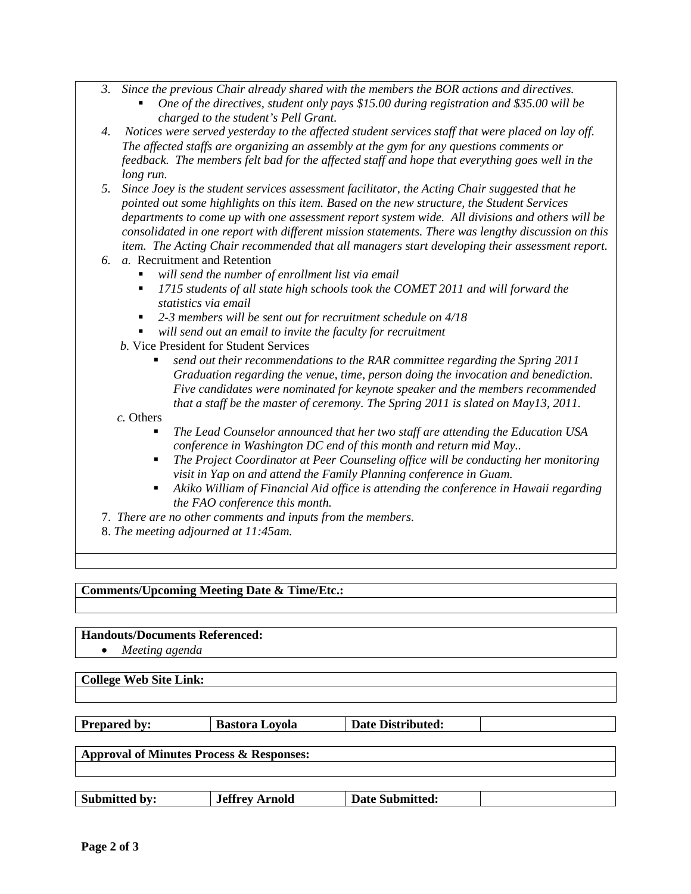- *3. Since the previous Chair already shared with the members the BOR actions and directives.* 
	- *One of the directives, student only pays \$15.00 during registration and \$35.00 will be charged to the student's Pell Grant.*
- *4. Notices were served yesterday to the affected student services staff that were placed on lay off. The affected staffs are organizing an assembly at the gym for any questions comments or feedback. The members felt bad for the affected staff and hope that everything goes well in the long run.*
- *5. Since Joey is the student services assessment facilitator, the Acting Chair suggested that he pointed out some highlights on this item. Based on the new structure, the Student Services departments to come up with one assessment report system wide. All divisions and others will be consolidated in one report with different mission statements. There was lengthy discussion on this item. The Acting Chair recommended that all managers start developing their assessment report.*
- *6. a.* Recruitment and Retention
	- *will send the number of enrollment list via email*
	- *1715 students of all state high schools took the COMET 2011 and will forward the statistics via email*
	- *2-3 members will be sent out for recruitment schedule on 4/18*
	- *will send out an email to invite the faculty for recruitment*
	- *b.* Vice President for Student Services
		- *send out their recommendations to the RAR committee regarding the Spring 2011 Graduation regarding the venue, time, person doing the invocation and benediction. Five candidates were nominated for keynote speaker and the members recommended that a staff be the master of ceremony. The Spring 2011 is slated on May13, 2011.*

 *c.* Others

- *The Lead Counselor announced that her two staff are attending the Education USA conference in Washington DC end of this month and return mid May..*
- *The Project Coordinator at Peer Counseling office will be conducting her monitoring visit in Yap on and attend the Family Planning conference in Guam.*
- *Akiko William of Financial Aid office is attending the conference in Hawaii regarding the FAO conference this month.*
- 7. *There are no other comments and inputs from the members.*
- 8. *The meeting adjourned at 11:45am.*

**Comments/Upcoming Meeting Date & Time/Etc.:**

**Handouts/Documents Referenced:**

• *Meeting agenda*

**College Web Site Link:**

**Prepared by: Bastora Loyola Date Distributed:** 

**Approval of Minutes Process & Responses:**